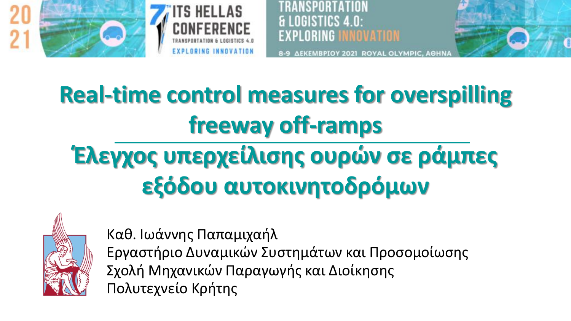



NGISTICS 4 N EXPLORING I INNOVATION



# **Real-time control measures for overspilling freeway off-ramps**

# **Έλεγχος υπερχείλισης ουρών σε ράμπες εξόδου αυτοκινητοδρόμων**



Καθ. Ιωάννης Παπαμιχαήλ Εργαστήριο Δυναμικών Συστημάτων και Προσομοίωσης Σχολή Μηχανικών Παραγωγής και Διοίκησης Πολυτεχνείο Κρήτης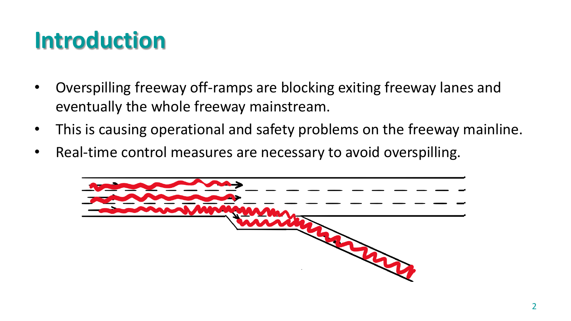#### **Introduction**

- Overspilling freeway off-ramps are blocking exiting freeway lanes and eventually the whole freeway mainstream.
- This is causing operational and safety problems on the freeway mainline.
- Real-time control measures are necessary to avoid overspilling.

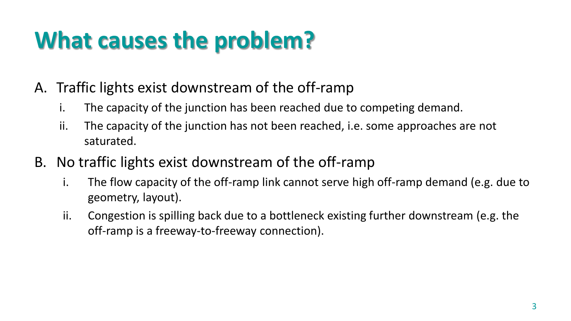# **What causes the problem?**

- A. Traffic lights exist downstream of the off-ramp
	- i. The capacity of the junction has been reached due to competing demand.
	- ii. The capacity of the junction has not been reached, i.e. some approaches are not saturated.
- B. No traffic lights exist downstream of the off-ramp
	- i. The flow capacity of the off-ramp link cannot serve high off-ramp demand (e.g. due to geometry, layout).
	- ii. Congestion is spilling back due to a bottleneck existing further downstream (e.g. the off-ramp is a freeway-to-freeway connection).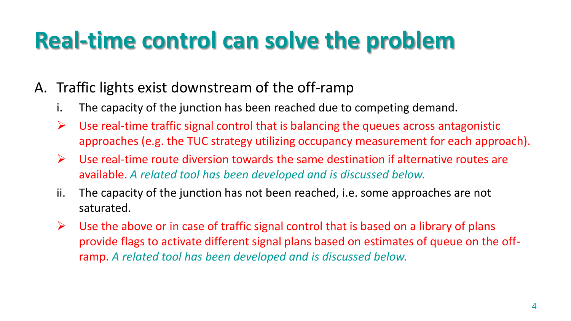### **Real-time control can solve the problem**

- A. Traffic lights exist downstream of the off-ramp
	- i. The capacity of the junction has been reached due to competing demand.
	- $\triangleright$  Use real-time traffic signal control that is balancing the queues across antagonistic approaches (e.g. the TUC strategy utilizing occupancy measurement for each approach).
	- $\triangleright$  Use real-time route diversion towards the same destination if alternative routes are available. *A related tool has been developed and is discussed below.*
	- ii. The capacity of the junction has not been reached, i.e. some approaches are not saturated.
	- $\triangleright$  Use the above or in case of traffic signal control that is based on a library of plans provide flags to activate different signal plans based on estimates of queue on the offramp. *A related tool has been developed and is discussed below.*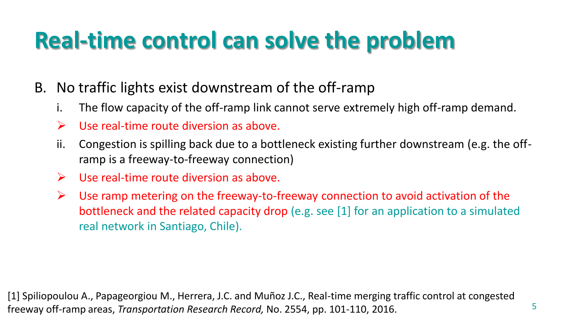## **Real-time control can solve the problem**

- B. No traffic lights exist downstream of the off-ramp
	- i. The flow capacity of the off-ramp link cannot serve extremely high off-ramp demand.
	- $\triangleright$  Use real-time route diversion as above.
	- ii. Congestion is spilling back due to a bottleneck existing further downstream (e.g. the offramp is a freeway-to-freeway connection)
	- $\triangleright$  Use real-time route diversion as above.
	- $\triangleright$  Use ramp metering on the freeway-to-freeway connection to avoid activation of the bottleneck and the related capacity drop (e.g. see [1] for an application to a simulated real network in Santiago, Chile).

5

[1] Spiliopoulou A., Papageorgiou M., Herrera, J.C. and Muñoz J.C., Real-time merging traffic control at congested freeway off-ramp areas, *Transportation Research Record,* No. 2554, pp. 101-110, 2016.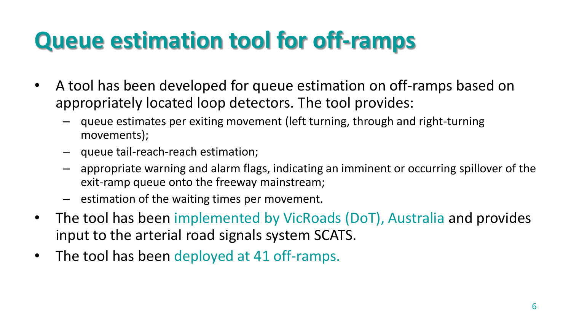## **Queue estimation tool for off-ramps**

- A tool has been developed for queue estimation on off-ramps based on appropriately located loop detectors. The tool provides:
	- queue estimates per exiting movement (left turning, through and right-turning movements);
	- queue tail-reach-reach estimation;
	- appropriate warning and alarm flags, indicating an imminent or occurring spillover of the exit-ramp queue onto the freeway mainstream;
	- estimation of the waiting times per movement.
- The tool has been implemented by VicRoads (DoT), Australia and provides input to the arterial road signals system SCATS.
- The tool has been deployed at 41 off-ramps.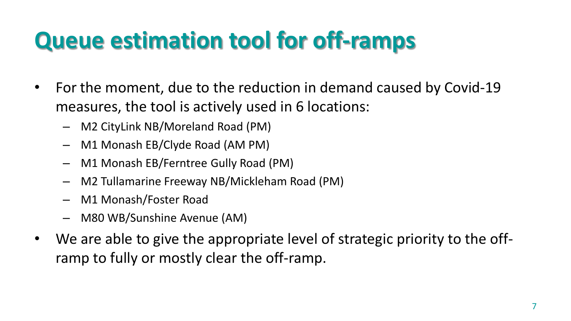# **Queue estimation tool for off-ramps**

- For the moment, due to the reduction in demand caused by Covid-19 measures, the tool is actively used in 6 locations:
	- M2 CityLink NB/Moreland Road (PM)
	- M1 Monash EB/Clyde Road (AM PM)
	- M1 Monash EB/Ferntree Gully Road (PM)
	- M2 Tullamarine Freeway NB/Mickleham Road (PM)
	- M1 Monash/Foster Road
	- M80 WB/Sunshine Avenue (AM)
- We are able to give the appropriate level of strategic priority to the offramp to fully or mostly clear the off-ramp.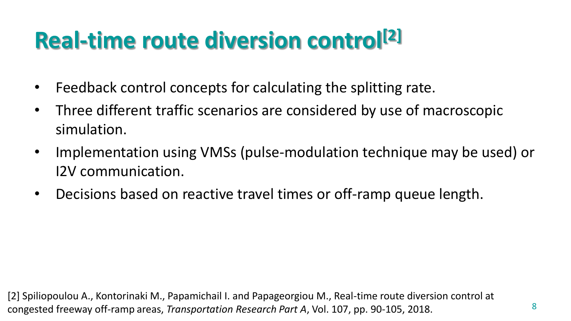## **Real-time route diversion control[2]**

- Feedback control concepts for calculating the splitting rate.
- Three different traffic scenarios are considered by use of macroscopic simulation.
- Implementation using VMSs (pulse-modulation technique may be used) or I2V communication.
- Decisions based on reactive travel times or off-ramp queue length.

[2] Spiliopoulou A., Kontorinaki M., Papamichail I. and Papageorgiou M., Real-time route diversion control at congested freeway off-ramp areas, *Transportation Research Part A*, Vol. 107, pp. 90-105, 2018.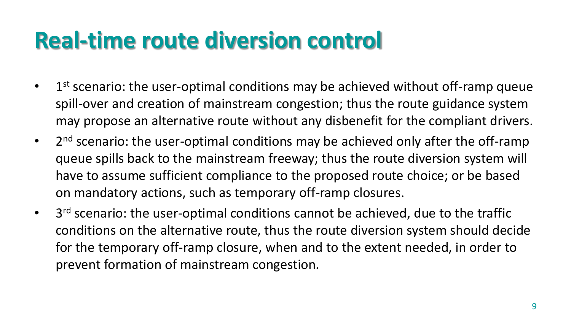#### **Real-time route diversion control**

- $\bullet$  1<sup>st</sup> scenario: the user-optimal conditions may be achieved without off-ramp queue spill-over and creation of mainstream congestion; thus the route guidance system may propose an alternative route without any disbenefit for the compliant drivers.
- 2<sup>nd</sup> scenario: the user-optimal conditions may be achieved only after the off-ramp queue spills back to the mainstream freeway; thus the route diversion system will have to assume sufficient compliance to the proposed route choice; or be based on mandatory actions, such as temporary off-ramp closures.
- 3<sup>rd</sup> scenario: the user-optimal conditions cannot be achieved, due to the traffic conditions on the alternative route, thus the route diversion system should decide for the temporary off-ramp closure, when and to the extent needed, in order to prevent formation of mainstream congestion.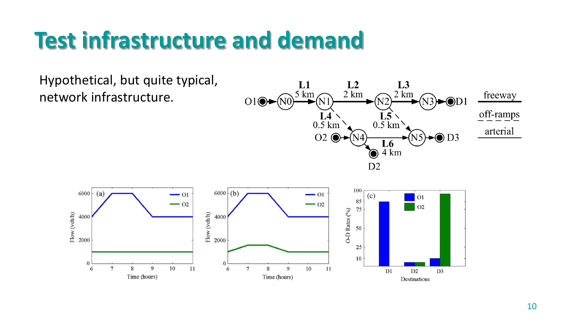#### **Test infrastructure and demand**

Hypothetical, but quite typical, network infrastructure.





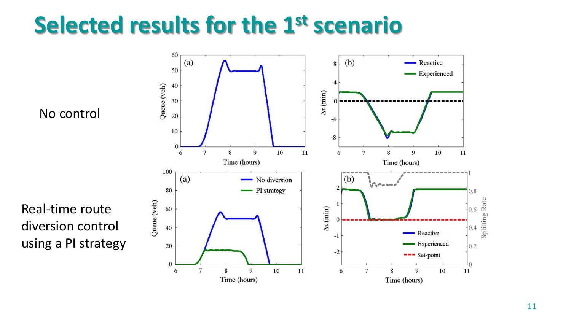#### **Selected results for the 1st scenario**

No control

Real-time route diversion control using a PI strategy